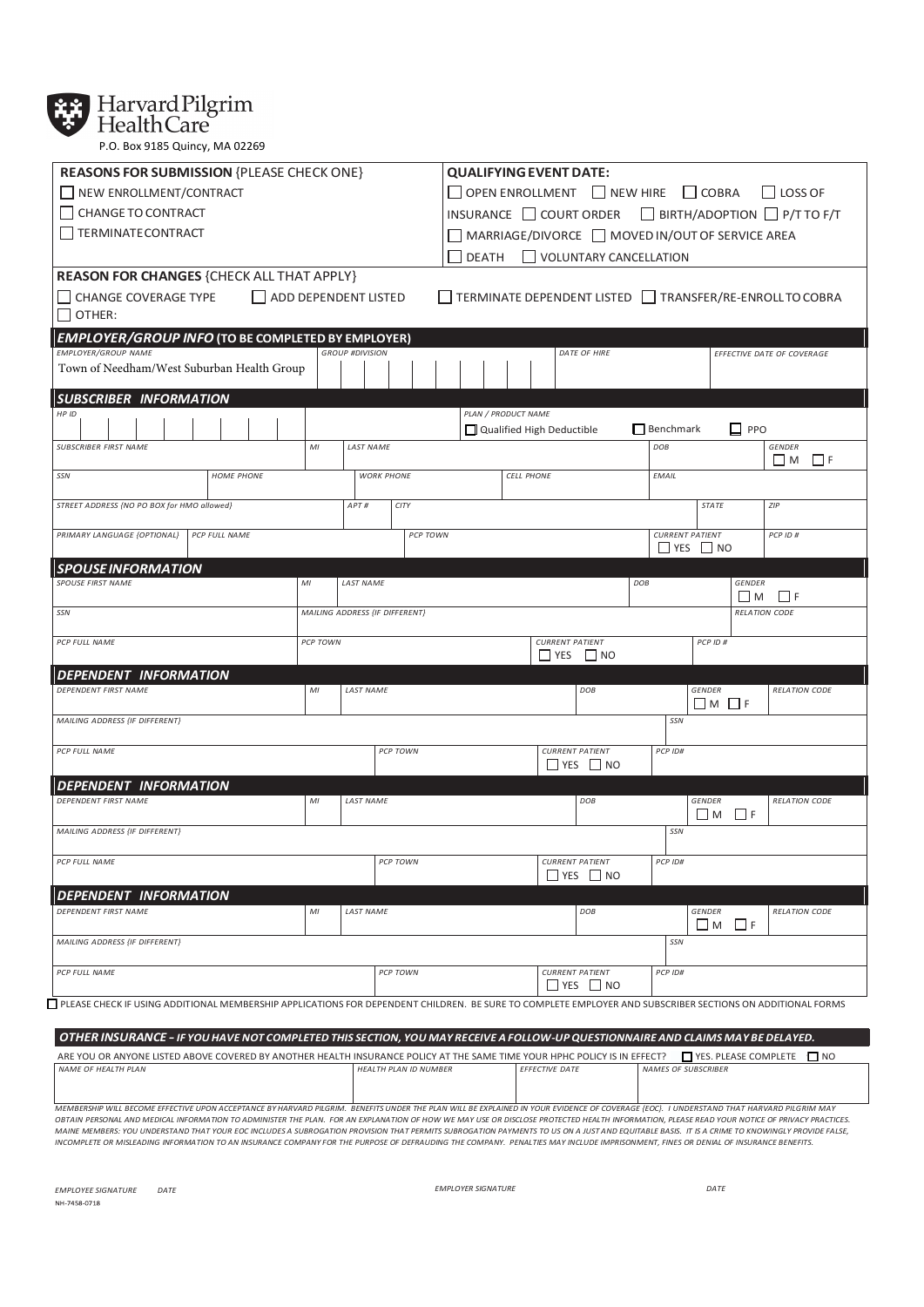

**XX** Harvard Pilgrim

P.O. Box 9185 Quincy, MA 02269

| <b>REASONS FOR SUBMISSION {PLEASE CHECK ONE}</b>                                                                                                            |          |                                |          | <b>QUALIFYING EVENT DATE:</b>                                                                         |                        |                                                |                  |                                                |                                                        |  |
|-------------------------------------------------------------------------------------------------------------------------------------------------------------|----------|--------------------------------|----------|-------------------------------------------------------------------------------------------------------|------------------------|------------------------------------------------|------------------|------------------------------------------------|--------------------------------------------------------|--|
| NEW ENROLLMENT/CONTRACT                                                                                                                                     |          |                                |          | $\Box$ OPEN ENROLLMENT $\Box$ NEW HIRE $\Box$ COBRA<br>LOSS OF                                        |                        |                                                |                  |                                                |                                                        |  |
| CHANGE TO CONTRACT                                                                                                                                          |          |                                |          | INSURANCE $\Box$ COURT ORDER $\Box$ BIRTH/ADOPTION $\Box$ P/T TO F/T                                  |                        |                                                |                  |                                                |                                                        |  |
| <b>TERMINATECONTRACT</b>                                                                                                                                    |          |                                |          |                                                                                                       |                        |                                                |                  |                                                |                                                        |  |
|                                                                                                                                                             |          |                                |          | $\Box$ MARRIAGE/DIVORCE $\Box$ MOVED IN/OUT OF SERVICE AREA<br>VOLUNTARY CANCELLATION<br><b>DEATH</b> |                        |                                                |                  |                                                |                                                        |  |
| <b>REASON FOR CHANGES {CHECK ALL THAT APPLY}</b>                                                                                                            |          |                                |          |                                                                                                       |                        |                                                |                  |                                                |                                                        |  |
| CHANGE COVERAGE TYPE ADD DEPENDENT LISTED                                                                                                                   |          |                                |          |                                                                                                       |                        |                                                |                  |                                                | TERMINATE DEPENDENT LISTED TRANSFER/RE-ENROLL TO COBRA |  |
| OTHER:                                                                                                                                                      |          |                                |          |                                                                                                       |                        |                                                |                  |                                                |                                                        |  |
|                                                                                                                                                             |          |                                |          |                                                                                                       |                        |                                                |                  |                                                |                                                        |  |
| EMPLOYER/GROUP INFO (TO BE COMPLETED BY EMPLOYER)<br><b>EMPLOYER/GROUP NAME</b>                                                                             |          | <b>GROUP #DIVISION</b>         |          |                                                                                                       |                        | DATE OF HIRE                                   |                  |                                                | EFFECTIVE DATE OF COVERAGE                             |  |
| Town of Needham/West Suburban Health Group                                                                                                                  |          |                                |          |                                                                                                       |                        |                                                |                  |                                                |                                                        |  |
|                                                                                                                                                             |          |                                |          |                                                                                                       |                        |                                                |                  |                                                |                                                        |  |
| <b>SUBSCRIBER INFORMATION</b><br>HP ID                                                                                                                      |          |                                |          | PLAN / PRODUCT NAME                                                                                   |                        |                                                |                  |                                                |                                                        |  |
|                                                                                                                                                             |          |                                |          | Qualified High Deductible                                                                             |                        |                                                | $\Box$ Benchmark | $\square$ PPO                                  |                                                        |  |
| <b>SUBSCRIBER FIRST NAME</b>                                                                                                                                | MI       | <b>LAST NAME</b>               |          |                                                                                                       |                        |                                                | DOB              |                                                | <b>GENDER</b>                                          |  |
|                                                                                                                                                             |          |                                |          |                                                                                                       |                        |                                                |                  |                                                | $\Box$ M $\Box$ F                                      |  |
| SSN<br><b>HOME PHONE</b>                                                                                                                                    |          | <b>WORK PHONE</b>              |          | <b>CELL PHONE</b>                                                                                     |                        |                                                | EMAIL            |                                                |                                                        |  |
| STREET ADDRESS {NO PO BOX for HMO allowed}                                                                                                                  |          | APT#<br>CITY                   |          |                                                                                                       |                        |                                                |                  | STATE                                          | ZIP                                                    |  |
|                                                                                                                                                             |          |                                |          |                                                                                                       |                        |                                                |                  |                                                |                                                        |  |
| PRIMARY LANGUAGE {OPTIONAL}<br>PCP FULL NAME                                                                                                                |          |                                | PCP TOWN |                                                                                                       |                        |                                                |                  | <b>CURRENT PATIENT</b><br>$\Box$ YES $\Box$ NO | PCP ID #                                               |  |
| <b>SPOUSE INFORMATION</b>                                                                                                                                   |          |                                |          |                                                                                                       |                        |                                                |                  |                                                |                                                        |  |
| <b>SPOUSE FIRST NAME</b>                                                                                                                                    | MI       | <b>LAST NAME</b>               |          |                                                                                                       |                        |                                                | DOB              | <b>GENDER</b>                                  |                                                        |  |
|                                                                                                                                                             |          |                                |          |                                                                                                       |                        |                                                |                  | ШM                                             | $\Box$ F                                               |  |
| SSN                                                                                                                                                         |          | MAILING ADDRESS {IF DIFFERENT} |          |                                                                                                       |                        |                                                |                  |                                                | <b>RELATION CODE</b>                                   |  |
| PCP FULL NAME                                                                                                                                               | PCP TOWN |                                |          |                                                                                                       | <b>CURRENT PATIENT</b> |                                                |                  | PCP ID#                                        |                                                        |  |
|                                                                                                                                                             |          |                                |          |                                                                                                       |                        | $\Box$ YES $\Box$ NO                           |                  |                                                |                                                        |  |
| DEPENDENT INFORMATION                                                                                                                                       |          |                                |          |                                                                                                       |                        |                                                |                  |                                                |                                                        |  |
| DEPENDENT FIRST NAME                                                                                                                                        | MI       | <b>LAST NAME</b>               |          |                                                                                                       |                        | DOB                                            |                  | <b>GENDER</b><br>$M \Box F$                    | <b>RELATION CODE</b>                                   |  |
| MAILING ADDRESS {IF DIFFERENT}                                                                                                                              |          |                                |          |                                                                                                       |                        |                                                | SSN              |                                                |                                                        |  |
|                                                                                                                                                             |          |                                |          |                                                                                                       |                        |                                                |                  |                                                |                                                        |  |
| PCP FULL NAME                                                                                                                                               |          | PCP TOWN                       |          |                                                                                                       |                        | <b>CURRENT PATIENT</b><br>$\Box$ yes $\Box$ no | PCP ID#          |                                                |                                                        |  |
|                                                                                                                                                             |          |                                |          |                                                                                                       |                        |                                                |                  |                                                |                                                        |  |
| <b>DEPENDENT INFORMATION</b><br>DEPENDENT FIRST NAME                                                                                                        | MI       | <b>LAST NAME</b>               |          |                                                                                                       |                        | DOB                                            |                  | <b>GENDER</b>                                  | <b>RELATION CODE</b>                                   |  |
|                                                                                                                                                             |          |                                |          |                                                                                                       |                        |                                                |                  | $\Box$ F<br>$\square$ M                        |                                                        |  |
| MAILING ADDRESS {IF DIFFERENT}                                                                                                                              |          |                                |          |                                                                                                       |                        |                                                | SSN              |                                                |                                                        |  |
|                                                                                                                                                             |          |                                |          |                                                                                                       |                        |                                                |                  |                                                |                                                        |  |
| PCP FULL NAME                                                                                                                                               |          | <b>PCP TOWN</b>                |          |                                                                                                       |                        | <b>CURRENT PATIENT</b><br>$\Box$ YES $\Box$ NO | PCP ID#          |                                                |                                                        |  |
| DEPENDENT INFORMATION                                                                                                                                       |          |                                |          |                                                                                                       |                        |                                                |                  |                                                |                                                        |  |
| DEPENDENT FIRST NAME                                                                                                                                        | MI       | <b>LAST NAME</b>               |          |                                                                                                       |                        | DOB                                            |                  | <b>GENDER</b>                                  | <b>RELATION CODE</b>                                   |  |
|                                                                                                                                                             |          |                                |          |                                                                                                       |                        |                                                |                  | $\Box$ M $\Box$ F                              |                                                        |  |
| MAILING ADDRESS {IF DIFFERENT}                                                                                                                              |          |                                |          |                                                                                                       |                        |                                                | SSN              |                                                |                                                        |  |
| PCP FULL NAME                                                                                                                                               |          | PCP TOWN                       |          |                                                                                                       |                        | <b>CURRENT PATIENT</b>                         | PCP ID#          |                                                |                                                        |  |
|                                                                                                                                                             |          |                                |          |                                                                                                       |                        | $\Box$ YES $\Box$ NO                           |                  |                                                |                                                        |  |
| □ PLEASE CHECK IF USING ADDITIONAL MEMBERSHIP APPLICATIONS FOR DEPENDENT CHILDREN. BE SURE TO COMPLETE EMPLOYER AND SUBSCRIBER SECTIONS ON ADDITIONAL FORMS |          |                                |          |                                                                                                       |                        |                                                |                  |                                                |                                                        |  |
|                                                                                                                                                             |          |                                |          |                                                                                                       |                        |                                                |                  |                                                |                                                        |  |

| OTHER INSURANCE - IF YOU HAVE NOT COMPLETED THIS SECTION, YOU MAY RECEIVE A FOLLOW-UP QUESTIONNAIRE AND CLAIMS MAY BE DELAYED.                                                                |                              |                       |                            |  |  |  |  |
|-----------------------------------------------------------------------------------------------------------------------------------------------------------------------------------------------|------------------------------|-----------------------|----------------------------|--|--|--|--|
| ■ YES. PLEASE COMPLETE ■ NO<br>ARE YOU OR ANYONE LISTED ABOVE COVERED BY ANOTHER HEALTH INSURANCE POLICY AT THE SAME TIME YOUR HPHC POLICY IS IN EFFECT?                                      |                              |                       |                            |  |  |  |  |
| NAME OF HEALTH PLAN                                                                                                                                                                           | <b>HFALTH PLAN ID NUMBER</b> | <b>FFFFCTIVE DATE</b> | <b>NAMES OF SUBSCRIBER</b> |  |  |  |  |
|                                                                                                                                                                                               |                              |                       |                            |  |  |  |  |
|                                                                                                                                                                                               |                              |                       |                            |  |  |  |  |
|                                                                                                                                                                                               |                              |                       |                            |  |  |  |  |
| MEMBERSHIP WILL BECOME EFFECTIVE UPON ACCEPTANCE BY HARVARD PILGRIM. BENEFITS UNDER THE PLAN WILL BE EXPLAINED IN YOUR EVIDENCE OF COVERAGE {EOC}. I UNDERSTAND THAT HARVARD PILGRIM MAY      |                              |                       |                            |  |  |  |  |
| OBTAIN PERSONAL AND MEDICAL INFORMATION TO ADMINISTER THE PLAN. FOR AN EXPLANATION OF HOW WE MAY USE OR DISCLOSE PROTECTED HEALTH INFORMATION. PLEASE READ YOUR NOTICE OF PRIVACY PRACTICES.  |                              |                       |                            |  |  |  |  |
| MAINE MEMBERS: YOU UNDERSTAND THAT YOUR EOC INCLUDES A SUBROGATION PROVISION THAT PERMITS SUBROGATION PAYMENTS TO US ON A JUST AND EQUITABLE BASIS. IT IS A CRIME TO KNOWINGLY PROVIDE FALSE, |                              |                       |                            |  |  |  |  |

*INGOMPLETE OR MISLEADING INFORMATION* TO AN INSURANCE COMPANY FOR THE PURPOSE OF DEFRAUDING THE COMPANY. PENALTIES MAY INCLUDE IMPRISONMENT, FINES OR DENALL OF INSURANCE BENEFITS.<br>INCOMPLETE OR MISLEADING INFORMATION TO A